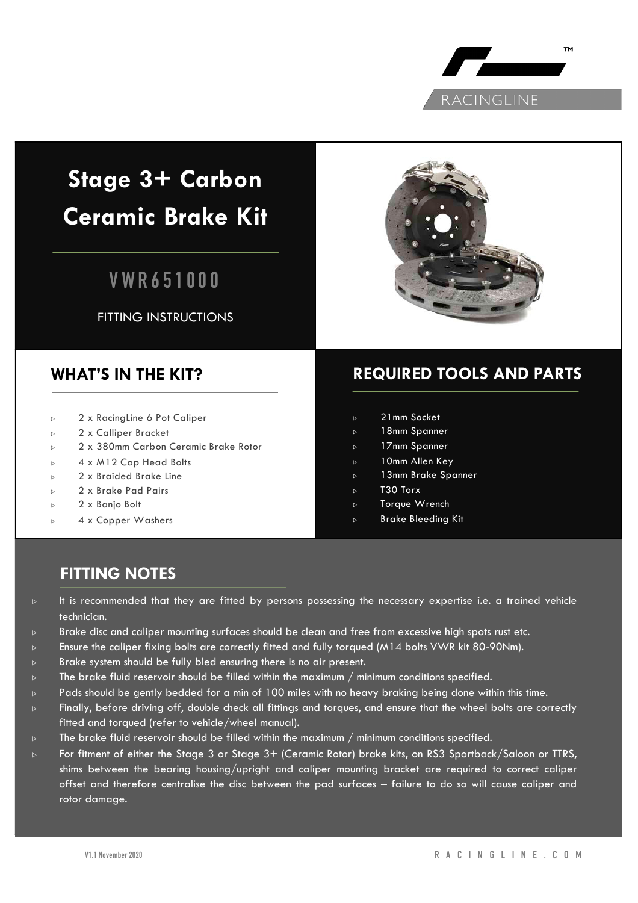

# **Stage 3+ Carbon Ceramic Brake Kit**

## **VWR651000**

FITTING INSTRUCTIONS



### **WHAT'S IN THE KIT?**

- 2 x RacingLine 6 Pot Caliper
- <sup>▷</sup> 2 x Calliper Bracket
- <sup>▷</sup> 2 x 380mm Carbon Ceramic Brake Rotor
- <sup>▷</sup> 4 x M12 Cap Head Bolts
- 2 x Braided Brake Line
- <sup>▷</sup> 2 x Brake Pad Pairs
- 2 x Banjo Bolt
- 4 x Copper Washers

## **REQUIRED TOOLS AND PARTS**

- 21mm Socket
- 18mm Spanner
- <sup>▷</sup> 17mm Spanner
- <sup>▷</sup> 10mm Allen Key
- <sup>▷</sup> 13mm Brake Spanner
- T30 Torx
- Torque Wrench
- <sup>▷</sup> Brake Bleeding Kit

## **FITTING NOTES**

- <sup>▷</sup> It is recommended that they are fitted by persons possessing the necessary expertise i.e. a trained vehicle technician.
- $\triangleright$  Brake disc and caliper mounting surfaces should be clean and free from excessive high spots rust etc.
- $\triangleright$  Ensure the caliper fixing bolts are correctly fitted and fully torqued (M14 bolts VWR kit 80-90Nm).
- Brake system should be fully bled ensuring there is no air present.
- $\triangleright$  The brake fluid reservoir should be filled within the maximum / minimum conditions specified.
- <sup>▷</sup> Pads should be gently bedded for a min of 100 miles with no heavy braking being done within this time.
- <sup>▷</sup> Finally, before driving off, double check all fittings and torques, and ensure that the wheel bolts are correctly fitted and torqued (refer to vehicle/wheel manual).
- $\triangleright$  The brake fluid reservoir should be filled within the maximum / minimum conditions specified.
- <sup>▷</sup> For fitment of either the Stage 3 or Stage 3+ (Ceramic Rotor) brake kits, on RS3 Sportback/Saloon or TTRS, shims between the bearing housing/upright and caliper mounting bracket are required to correct caliper offset and therefore centralise the disc between the pad surfaces – failure to do so will cause caliper and rotor damage.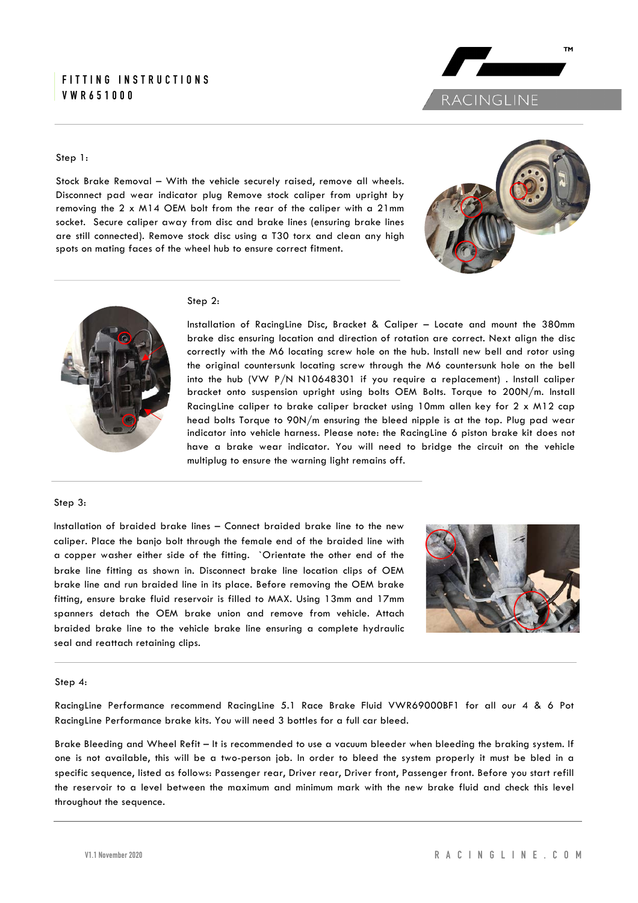#### **FITTING INSTRUCTIONS VWR651000**

#### Step 1:

Stock Brake Removal – With the vehicle securely raised, remove all wheels. Disconnect pad wear indicator plug Remove stock caliper from upright by removing the 2 x M14 OEM bolt from the rear of the caliper with a 21mm socket. Secure caliper away from disc and brake lines (ensuring brake lines are still connected). Remove stock disc using a T30 torx and clean any high spots on mating faces of the wheel hub to ensure correct fitment.



RACINGLINE

**TM** 



#### Step 2:

Installation of RacingLine Disc, Bracket & Caliper – Locate and mount the 380mm brake disc ensuring location and direction of rotation are correct. Next align the disc correctly with the M6 locating screw hole on the hub. Install new bell and rotor using the original countersunk locating screw through the M6 countersunk hole on the bell into the hub (VW P/N N10648301 if you require a replacement) . Install caliper bracket onto suspension upright using bolts OEM Bolts. Torque to 200N/m. Install RacingLine caliper to brake caliper bracket using 10mm allen key for 2 x M12 cap head bolts Torque to 90N/m ensuring the bleed nipple is at the top. Plug pad wear indicator into vehicle harness. Please note: the RacingLine 6 piston brake kit does not have a brake wear indicator. You will need to bridge the circuit on the vehicle multiplug to ensure the warning light remains off.

#### Step 3:

Installation of braided brake lines – Connect braided brake line to the new caliper. Place the banjo bolt through the female end of the braided line with a copper washer either side of the fitting. `Orientate the other end of the brake line fitting as shown in. Disconnect brake line location clips of OEM brake line and run braided line in its place. Before removing the OEM brake fitting, ensure brake fluid reservoir is filled to MAX. Using 13mm and 17mm spanners detach the OEM brake union and remove from vehicle. Attach braided brake line to the vehicle brake line ensuring a complete hydraulic seal and reattach retaining clips.



#### Step 4:

RacingLine Performance recommend RacingLine 5.1 Race Brake Fluid VWR69000BF1 for all our 4 & 6 Pot RacingLine Performance brake kits. You will need 3 bottles for a full car bleed.

Brake Bleeding and Wheel Refit – It is recommended to use a vacuum bleeder when bleeding the braking system. If one is not available, this will be a two-person job. In order to bleed the system properly it must be bled in a specific sequence, listed as follows: Passenger rear, Driver rear, Driver front, Passenger front. Before you start refill the reservoir to a level between the maximum and minimum mark with the new brake fluid and check this level throughout the sequence.